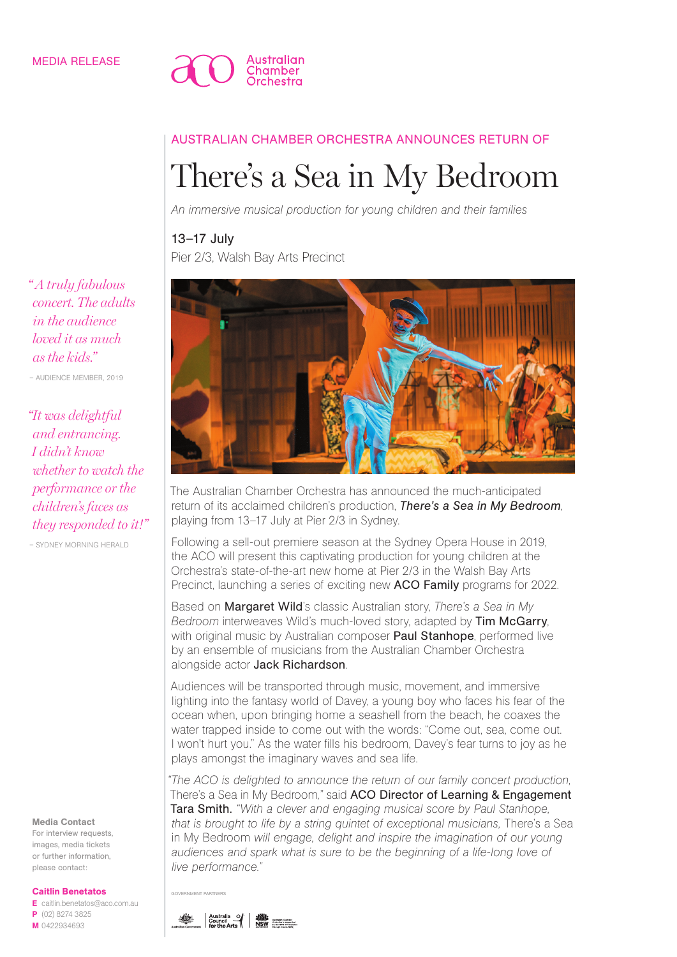

# AUSTRALIAN CHAMBER ORCHESTRA ANNOUNCES RETURN OF

# There's a Sea in My Bedroom

*An immersive musical production for young children and their families*

# 13–17 July

Pier 2/3, Walsh Bay Arts Precinct



The Australian Chamber Orchestra has announced the much-anticipated return of its acclaimed children's production, *There's a Sea in My Bedroom*, playing from 13–17 July at Pier 2/3 in Sydney.

Following a sell-out premiere season at the Sydney Opera House in 2019, the ACO will present this captivating production for young children at the Orchestra's state-of-the-art new home at Pier 2/3 in the Walsh Bay Arts Precinct, launching a series of exciting new ACO Family programs for 2022.

Based on Margaret Wild's classic Australian story, *There's a Sea in My Bedroom* interweaves Wild's much-loved story, adapted by **Tim McGarry**, with original music by Australian composer Paul Stanhope, performed live by an ensemble of musicians from the Australian Chamber Orchestra alongside actor Jack Richardson.

Audiences will be transported through music, movement, and immersive lighting into the fantasy world of Davey, a young boy who faces his fear of the ocean when, upon bringing home a seashell from the beach, he coaxes the water trapped inside to come out with the words: "Come out, sea, come out. I won't hurt you." As the water fills his bedroom, Davey's fear turns to joy as he plays amongst the imaginary waves and sea life.

*"The ACO is delighted to announce the return of our family concert production,*  There's a Sea in My Bedroom*,"* said ACO Director of Learning & Engagement Tara Smith. *"With a clever and engaging musical score by Paul Stanhope, that is brought to life by a string quintet of exceptional musicians,* There's a Sea in My Bedroom *will engage, delight and inspire the imagination of our young audiences and spark what is sure to be the beginning of a life-long love of live performance."*

GOVERNMENT PARTNERS

*" A truly fabulous concert. The adults in the audience loved it as much as the kids."*

– AUDIENCE MEMBER, 2019

*"It was delightful and entrancing. I didn't know whether to watch the performance or the children's faces as they responded to it!"*

– SYDNEY MORNING HERALD

#### Media Contact

For interview requests, images, media tickets or further information, please contact:

#### Caitlin Benetatos

E caitlin.benetatos@aco.com.au P (02) 8274 3825 M 0422934693